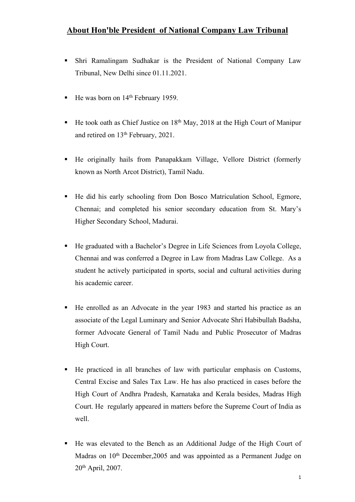- Shri Ramalingam Sudhakar is the President of National Company Law Tribunal, New Delhi since 01.11.2021.
- $\blacksquare$  He was born on 14<sup>th</sup> February 1959.
- $\blacksquare$  He took oath as Chief Justice on 18<sup>th</sup> May, 2018 at the High Court of Manipur and retired on 13 th February, 2021.
- He originally hails from Panapakkam Village, Vellore District (formerly known as North Arcot District), Tamil Nadu.
- He did his early schooling from Don Bosco Matriculation School, Egmore, Chennai; and completed his senior secondary education from St. Mary's Higher Secondary School, Madurai.
- He graduated with a Bachelor's Degree in Life Sciences from Loyola College, Chennai and was conferred a Degree in Law from Madras Law College. As a student he actively participated in sports, social and cultural activities during his academic career.
- He enrolled as an Advocate in the year1983 and started his practice as an associate of the Legal Luminary and Senior Advocate Shri Habibullah Badsha, former Advocate General of Tamil Nadu and Public Prosecutor of Madras High Court.
- He practiced in all branches of law with particular emphasis on Customs, Central Excise and Sales Tax Law. He has also practiced in cases before the High Court of Andhra Pradesh, Karnataka and Kerala besides, Madras High Court. He regularly appeared in matters before the Supreme Court of India as well.
- He was elevated to the Bench as an Additional Judge of the High Court of Madras on 10<sup>th</sup> December, 2005 and was appointed as a Permanent Judge on 20 th April, 2007.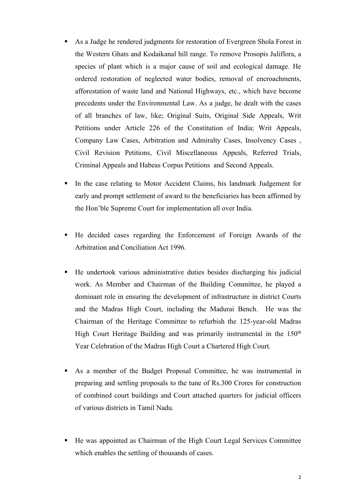- As a Judge he rendered judgments for restoration of Evergreen Shola Forest in the Western Ghats and Kodaikanal hill range. To remove Prosopis Juliflora, a species of plant which is a major cause of soiland ecological damage. He ordered restoration of neglected water bodies, removal of encroachments, afforestation of waste land and National Highways, etc., which have become precedents under the Environmental Law. As a judge, he dealt with the cases of all branches of law, like; Original Suits, Original Side Appeals, Writ Petitions under Article 226 of the Constitution of India; Writ Appeals, Company Law Cases, Arbitration and Admiralty Cases, Insolvency Cases , Civil Revision Petitions, Civil Miscellaneous Appeals, Referred Trials, Criminal Appeals and Habeas Corpus Petitions and Second Appeals.
- In the case relating to Motor Accident Claims, his landmark Judgement for early and prompt settlement of award to the beneficiaries has been affirmed by the Hon'ble Supreme Court for implementation all over India.
- He decided cases regarding the Enforcement of Foreign Awards of the Arbitration and Conciliation Act 1996.
- He undertook various administrative duties besides discharging his judicial work. As Member and Chairman of the Building Committee, he played a dominant role in ensuring the development of infrastructure in district Courts and the Madras High Court, including the Madurai Bench. He was the Chairman of the Heritage Committee to refurbish the 125-year-old Madras High Court Heritage Building and was primarily instrumental in the 150<sup>th</sup> Year Celebration of the Madras High Court a Chartered High Court.
- As a member of the Budget Proposal Committee, he was instrumental in preparing and settling proposals to the tune of Rs.300 Crores for construction of combined court buildings and Court attached quarters for judicial officers of various districts in Tamil Nadu.
- He was appointed as Chairman of the High Court Legal Services Committee which enables the settling of thousands of cases.